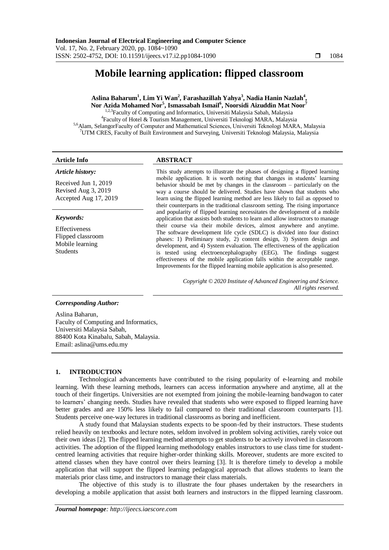# **Mobile learning application: flipped classroom**

**Aslina Baharum<sup>1</sup> , Lim Yi Wan<sup>2</sup> , Farashazillah Yahya<sup>3</sup> , Nadia Hanin Nazlah<sup>4</sup> , Nor Azida Mohamed Nor<sup>5</sup> , Ismassabah Ismail<sup>6</sup> , Noorsidi Aizuddin Mat Noor<sup>7</sup>** <sup>1,2,3</sup>Faculty of Computing and Informatics, Universiti Malaysia Sabah, Malaysia 4 Faculty of Hotel & Tourism Management, Universiti Teknologi MARA, Malaysia 5,6Alam, SelangorFaculty of Computer and Mathematical Sciences, Universiti Teknologi MARA, Malaysia

<sup>7</sup>UTM CRES, Faculty of Built Environment and Surveying, Universiti Teknologi Malaysia, Malaysia

### **Article Info ABSTRACT**

#### *Article history:*

Received Jun 1, 2019 Revised Aug 3, 2019 Accepted Aug 17, 2019

#### *Keywords:*

Effectiveness Flipped classroom Mobile learning Students

This study attempts to illustrate the phases of designing a flipped learning mobile application. It is worth noting that changes in students' learning behavior should be met by changes in the classroom – particularly on the way a course should be delivered. Studies have shown that students who learn using the flipped learning method are less likely to fail as opposed to their counterparts in the traditional classroom setting. The rising importance and popularity of flipped learning necessitates the development of a mobile application that assists both students to learn and allow instructors to manage their course via their mobile devices, almost anywhere and anytime. The software development life cycle (SDLC) is divided into four distinct phases: 1) Preliminary study, 2) content design, 3) System design and development, and 4) System evaluation. The effectiveness of the application is tested using electroencephalography (EEG). The findings suggest effectiveness of the mobile application falls within the acceptable range. Improvements for the flipped learning mobile application is also presented.

> *Copyright © 2020 Institute of Advanced Engineering and Science. All rights reserved.*

### *Corresponding Author:*

Aslina Baharun, Faculty of Computing and Informatics, Universiti Malaysia Sabah, 88400 Kota Kinabalu, Sabah, Malaysia. Email: aslina@ums.edu.my

# **1. INTRODUCTION**

Technological advancements have contributed to the rising popularity of e-learning and mobile learning. With these learning methods, learners can access information anywhere and anytime, all at the touch of their fingertips. Universities are not exempted from joining the mobile-learning bandwagon to cater to learners" changing needs. Studies have revealed that students who were exposed to flipped learning have better grades and are 150% less likely to fail compared to their traditional classroom counterparts [1]. Students perceive one-way lectures in traditional classrooms as boring and inefficient.

A study found that Malaysian students expects to be spoon-fed by their instructors. These students relied heavily on textbooks and lecture notes, seldom involved in problem solving activities, rarely voice out their own ideas [2]. The flipped learning method attempts to get students to be actively involved in classroom activities. The adoption of the flipped learning methodology enables instructors to use class time for studentcentred learning activities that require higher-order thinking skills. Moreover, students are more excited to attend classes when they have control over theirs learning [3]. It is therefore timely to develop a mobile application that will support the flipped learning pedagogical approach that allows students to learn the materials prior class time, and instructors to manage their class materials.

The objective of this study is to illustrate the four phases undertaken by the researchers in developing a mobile application that assist both learners and instructors in the flipped learning classroom.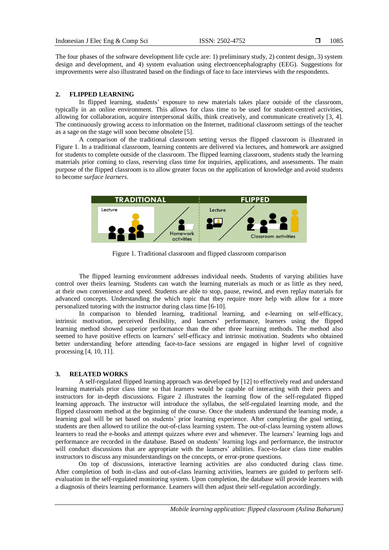The four phases of the software development life cycle are: 1) preliminary study, 2) content design, 3) system design and development, and 4) system evaluation using electroencephalography (EEG). Suggestions for improvements were also illustrated based on the findings of face to face interviews with the respondents.

# **2. FLIPPED LEARNING**

In flipped learning, students" exposure to new materials takes place outside of the classroom, typically in an online environment. This allows for class time to be used for student-centred activities, allowing for collaboration, acquire interpersonal skills, think creatively, and communicate creatively [3, 4]. The continuously growing access to information on the Internet, traditional classroom settings of the teacher as a sage on the stage will soon become obsolete [5].

A comparison of the traditional classroom setting versus the flipped classroom is illustrated in Figure 1. In a traditional classroom, learning contents are delivered via lectures, and homework are assigned for students to complete outside of the classroom. The flipped learning classroom, students study the learning materials prior coming to class, reserving class time for inquiries, applications, and assessments. The main purpose of the flipped classroom is to allow greater focus on the application of knowledge and avoid students to become *surface learners*.



Figure 1. Traditional classroom and flipped classroom comparison

The flipped learning environment addresses individual needs. Students of varying abilities have control over theirs learning. Students can watch the learning materials as much or as little as they need, at their own convenience and speed. Students are able to stop, pause, rewind, and even replay materials for advanced concepts. Understanding the which topic that they require more help with allow for a more personalized tutoring with the instructor during class time [6-10].

In comparison to blended learning, traditional learning, and e-learning on self-efficacy, intrinsic motivation, perceived flexibility, and learners" performance, learners using the flipped learning method showed superior performance than the other three learning methods. The method also seemed to have positive effects on learners" self-efficacy and intrinsic motivation. Students who obtained better understanding before attending face-to-face sessions are engaged in higher level of cognitive processing [4, 10, 11].

### **3. RELATED WORKS**

A self-regulated flipped learning approach was developed by [12] to effectively read and understand learning materials prior class time so that learners would be capable of interacting with their peers and instructors for in-depth discussions. Figure 2 illustrates the learning flow of the self-regulated flipped learning approach. The instructor will introduce the syllabus, the self-regulated learning mode, and the flipped classroom method at the beginning of the course. Once the students understand the learning mode, a learning goal will be set based on students' prior learning experience. After completing the goal setting, students are then allowed to utilize the out-of-class learning system. The out-of-class learning system allows learners to read the e-books and attempt quizzes where ever and whenever. The learners' learning logs and performance are recorded in the database. Based on students" learning logs and performance, the instructor will conduct discussions that are appropriate with the learners' abilities. Face-to-face class time enables instructors to discuss any misunderstandings on the concepts, or error-prone questions.

On top of discussions, interactive learning activities are also conducted during class time. After completion of both in-class and out-of-class learning activities, learners are guided to perform selfevaluation in the self-regulated monitoring system. Upon completion, the database will provide learners with a diagnosis of theirs learning performance. Learners will then adjust their self-regulation accordingly.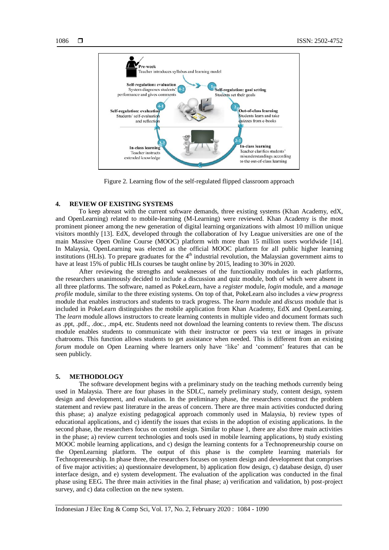

Figure 2. Learning flow of the self-regulated flipped classroom approach

# **4. REVIEW OF EXISTING SYSTEMS**

To keep abreast with the current software demands, three existing systems (Khan Academy, edX, and OpenLearning) related to mobile-learning (M-Learning) were reviewed. Khan Academy is the most prominent pioneer among the new generation of digital learning organizations with almost 10 million unique visitors monthly [13]. EdX, developed through the collaboration of Ivy League universities are one of the main Massive Open Online Course (MOOC) platform with more than 15 million users worldwide [14]. In Malaysia, OpenLearning was elected as the official MOOC platform for all public higher learning institutions (HLIs). To prepare graduates for the  $4<sup>th</sup>$  industrial revolution, the Malaysian government aims to have at least 15% of public HLIs courses be taught online by 2015, leading to 30% in 2020.

After reviewing the strengths and weaknesses of the functionality modules in each platforms, the researchers unanimously decided to include a discussion and quiz module, both of which were absent in all three platforms. The software, named as PokeLearn, have a *register* module, *login* module, and a *manage profile* module, similar to the three existing systems. On top of that, PokeLearn also includes a *view progress* module that enables instructors and students to track progress. The *learn* module and *discuss* module that is included in PokeLearn distinguishes the mobile application from Khan Academy, EdX and OpenLearning. The *learn* module allows instructors to create learning contents in multiple video and document formats such as .ppt, .pdf., .doc., .mp4, etc. Students need not download the learning contents to review them. The *discuss* module enables students to communicate with their instructor or peers via text or images in private chatrooms. This function allows students to get assistance when needed. This is different from an existing *forum* module on Open Learning where learners only have 'like' and 'comment' features that can be seen publicly.

# **5. METHODOLOGY**

The software development begins with a preliminary study on the teaching methods currently being used in Malaysia. There are four phases in the SDLC, namely preliminary study, content design, system design and development, and evaluation. In the preliminary phase, the researchers construct the problem statement and review past literature in the areas of concern. There are three main activities conducted during this phase; a) analyze existing pedagogical approach commonly used in Malaysia, b) review types of educational applications, and c) identify the issues that exists in the adoption of existing applications. In the second phase, the researchers focus on content design. Similar to phase 1, there are also three main activities in the phase; a) review current technologies and tools used in mobile learning applications, b) study existing MOOC mobile learning applications, and c) design the learning contents for a Technopreneurship course on the OpenLearning platform. The output of this phase is the complete learning materials for Technopreneurship. In phase three, the researchers focuses on system design and development that comprises of five major activities; a) questionnaire development, b) application flow design, c) database design, d) user interface design, and e) system development. The evaluation of the application was conducted in the final phase using EEG. The three main activities in the final phase; a) verification and validation, b) post-project survey, and c) data collection on the new system.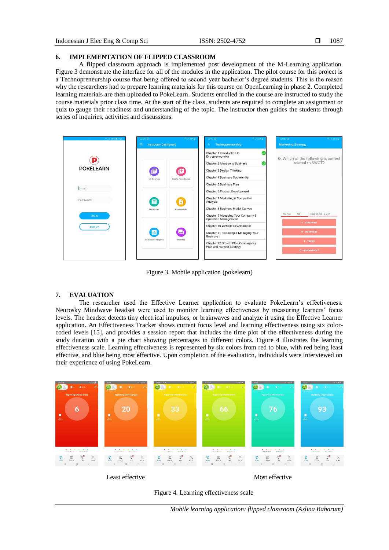# **6. IMPLEMENTATION OF FLIPPED CLASSROOM**

A flipped classroom approach is implemented post development of the M-Learning application. Figure 3 demonstrate the interface for all of the modules in the application. The pilot course for this project is a Technopreneurship course that being offered to second year bachelor"s degree students. This is the reason why the researchers had to prepare learning materials for this course on OpenLearning in phase 2. Completed learning materials are then uploaded to PokeLearn. Students enrolled in the course are instructed to study the course materials prior class time. At the start of the class, students are required to complete an assignment or quiz to gauge their readiness and understanding of the topic. The instructor then guides the students through series of inquiries, activities and discussions.



Figure 3. Mobile application (pokelearn)

# **7. EVALUATION**

The researcher used the Effective Learner application to evaluate PokeLearn"s effectiveness. Neurosky Mindwave headset were used to monitor learning effectiveness by measuring learners" focus levels. The headset detects tiny electrical impulses, or brainwaves and analyze it using the Effective Learner application. An Effectiveness Tracker shows current focus level and learning effectiveness using six colorcoded levels [15], and provides a session report that includes the time plot of the effectiveness during the study duration with a pie chart showing percentages in different colors. Figure 4 illustrates the learning effectiveness scale. Learning effectiveness is represented by six colors from red to blue, with red being least effective, and blue being most effective. Upon completion of the evaluation, individuals were interviewed on their experience of using PokeLearn.



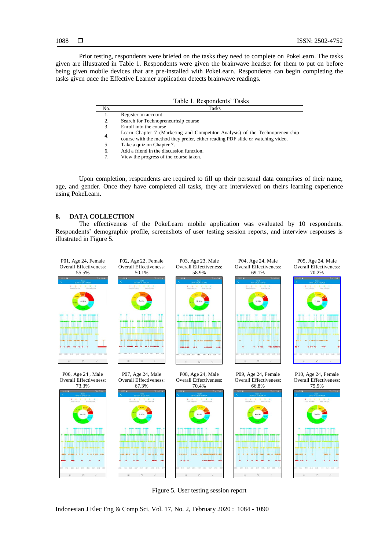Prior testing, respondents were briefed on the tasks they need to complete on PokeLearn. The tasks given are illustrated in Table 1. Respondents were given the brainwave headset for them to put on before being given mobile devices that are pre-installed with PokeLearn. Respondents can begin completing the tasks given once the Effective Learner application detects brainwave readings.

|     | Table 1. Respondents' Tasks                                                                                                                                     |
|-----|-----------------------------------------------------------------------------------------------------------------------------------------------------------------|
| No. | Tasks                                                                                                                                                           |
| 1.  | Register an account                                                                                                                                             |
| 2.  | Search for Technopreneurhsip course                                                                                                                             |
| 3.  | Enroll into the course                                                                                                                                          |
| 4.  | Learn Chapter 7 (Marketing and Competitor Analysis) of the Technopreneurship<br>course with the method they prefer, either reading PDF slide or watching video. |
| 5.  | Take a quiz on Chapter 7.                                                                                                                                       |
| 6.  | Add a friend in the discussion function.                                                                                                                        |
| 7.  | View the progress of the course taken.                                                                                                                          |

Upon completion, respondents are required to fill up their personal data comprises of their name, age, and gender. Once they have completed all tasks, they are interviewed on theirs learning experience using PokeLearn.

# **8. DATA COLLECTION**

The effectiveness of the PokeLearn mobile application was evaluated by 10 respondents. Respondents' demographic profile, screenshots of user testing session reports, and interview responses is illustrated in Figure 5.



Figure 5. User testing session report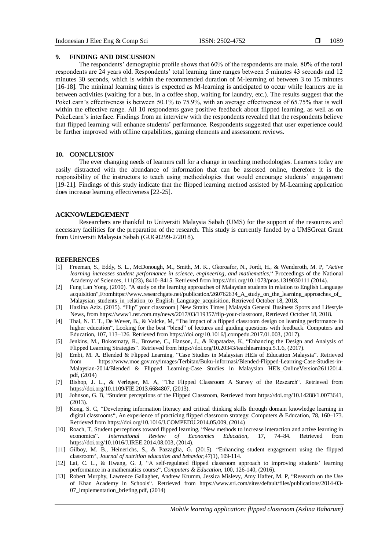#### **9. FINDING AND DISCUSSION**

The respondents" demographic profile shows that 60% of the respondents are male. 80% of the total respondents are 24 years old. Respondents" total learning time ranges between 5 minutes 43 seconds and 12 minutes 30 seconds, which is within the recommended duration of M-learning of between 3 to 15 minutes [16-18]. The minimal learning times is expected as M-learning is anticipated to occur while learners are in between activities (waiting for a bus, in a coffee shop, waiting for laundry, etc.). The results suggest that the PokeLearn's effectiveness is between 50.1% to 75.9%, with an average effectiveness of 65.75% that is well within the effective range. All 10 respondents gave positive feedback about flipped learning, as well as on PokeLearn's interface. Findings from an interview with the respondents revealed that the respondents believe that flipped learning will enhance students" performance. Respondents suggested that user experience could be further improved with offline capabilities, gaming elements and assessment reviews.

# **10. CONCLUSION**

The ever changing needs of learners call for a change in teaching methodologies. Learners today are easily distracted with the abundance of information that can be assessed online, therefore it is the responsibility of the instructors to teach using methodologies that would encourage students" engagement [19-21]. Findings of this study indicate that the flipped learning method assisted by M-Learning application does increase learning effectiveness [22-25].

#### **ACKNOWLEDGEMENT**

Researchers are thankful to Universiti Malaysia Sabah (UMS) for the support of the resources and necessary facilities for the preparation of the research. This study is currently funded by a UMSGreat Grant from Universiti Malaysia Sabah (GUG0299-2/2018).

#### **REFERENCES**

- [1] Freeman, S., Eddy, S. L., McDonough, M., Smith, M. K., Okoroafor, N., Jordt, H., & Wenderoth, M. P, "*Active learning increases student performance in science, engineering, and mathematics*," Proceedings of the National Academy of Sciences, 111(23), 8410–8415. Retrieved from <https://doi.org/10.1073/pnas.1319030111> (2014).
- [2] Fung Lan Yong. (2010). "A study on the learning approaches of Malaysian students in relation to English Language acquisition",Fro[mhttps://www.researchgate.net/publication/260762634\\_A\\_study\\_on\\_the\\_learning\\_approaches\\_of\\_](https://www.researchgate.net/publication/260762634_A_study_on_the_learning_approaches_of_Malaysian_students_in_relation_to_English_Language_acquisition) [Malaysian\\_students\\_in\\_relation\\_to\\_English\\_Language\\_acquisition,](https://www.researchgate.net/publication/260762634_A_study_on_the_learning_approaches_of_Malaysian_students_in_relation_to_English_Language_acquisition) Retrieved October 18, 2018,
- [3] Hazlina Aziz. (2015). "Flip" your classroom | New Straits Times | Malaysia General Business Sports and Lifestyle News, from [https://www1.nst.com.my/news/2017/03/119357/flip-your-classroom,](https://www1.nst.com.my/news/2017/03/119357/flip-your-classroom) Retrieved October 18, 2018.
- [4] Thai, N. T. T., De Wever, B., & Valcke, M, "The impact of a flipped classroom design on learning performance in higher education", Looking for the best "blend" of lectures and guiding questions with feedback. Computers and Education, 107, 113–126. Retrieved from [https://doi.org/10.1016/j.compedu.2017.01.003,](https://doi.org/10.1016/j.compedu.2017.01.003) (2017).
- [5] Jenkins, M., Bokosmaty, R., Browne, C., Hanson, J., & Kupatadze, K, "Enhancing the Design and Analysis of Flipped Learning Strategies". Retrieved from [https://doi.org/10.20343/teachlearninqu.5.1.6,](https://doi.org/10.20343/teachlearninqu.5.1.6) (2017).
- [6] Embi, M. A. Blended & Flipped Learning, "Case Studies in Malaysian HEIs of Education Malaysia". Retrieved from https://www.moe.gov.my/images/Terbitan/Buku-informasi/Blended-Flipped-Learning-Case-Studies-in-Malaysian-2014/Blended & Flipped Learning-Case Studies in Malaysian HEIs\_OnlineVersion26112014. pdf, (2014)
- [7] Bishop, J. L., & Verleger, M. A, "The Flipped Classroom A Survey of the Research". Retrieved from [https://doi.org/10.1109/FIE.2013.6684807,](https://doi.org/10.1109/FIE.2013.6684807) (2013).
- [8] Johnson, G. B, "Student perceptions of the Flipped Classroom, Retrieved from [https://doi.org/10.14288/1.0073641,](https://doi.org/10.14288/1.0073641) (2013).
- [9] Kong, S. C, "Developing information literacy and critical thinking skills through domain knowledge learning in digital classrooms", An experience of practicing flipped classroom strategy. Computers & Education, 78, 160–173. Retrieved from [https://doi.org/10.1016/J.COMPEDU.2014.05.009,](https://doi.org/10.1016/J.COMPEDU.2014.05.009) (2014)
- [10] Roach, T, Student perceptions toward flipped learning, "New methods to increase interaction and active learning in economics". *International Review of Economics Education*, 17, 74–84. Retrieved from [https://doi.org/10.1016/J.IREE.2014.08.003,](https://doi.org/10.1016/J.IREE.2014.08.003) (2014).
- [11] Gilboy, M. B., Heinerichs, S., & Pazzaglia, G. (2015). "Enhancing student engagement using the flipped classroom", *Journal of nutrition education and behavior*,47(1), 109-114.
- [12] Lai, C. L., & Hwang, G. J, "A self-regulated flipped classroom approach to improving students' learning performance in a mathematics course", *Computers & Education*, 100, 126-140, (2016).
- [13] Robert Murphy, Lawrence Gallagher, Andrew Krumm, Jessica Mislevy, Amy Hafter, M. P, "Research on the Use of Khan Academy in Schools". Retrieved from [https://www.sri.com/sites/default/files/publications/2014-03-](https://www.sri.com/sites/default/files/publications/2014-03-07_implementation_briefing.pdf) [07\\_implementation\\_briefing.pdf,](https://www.sri.com/sites/default/files/publications/2014-03-07_implementation_briefing.pdf) (2014)